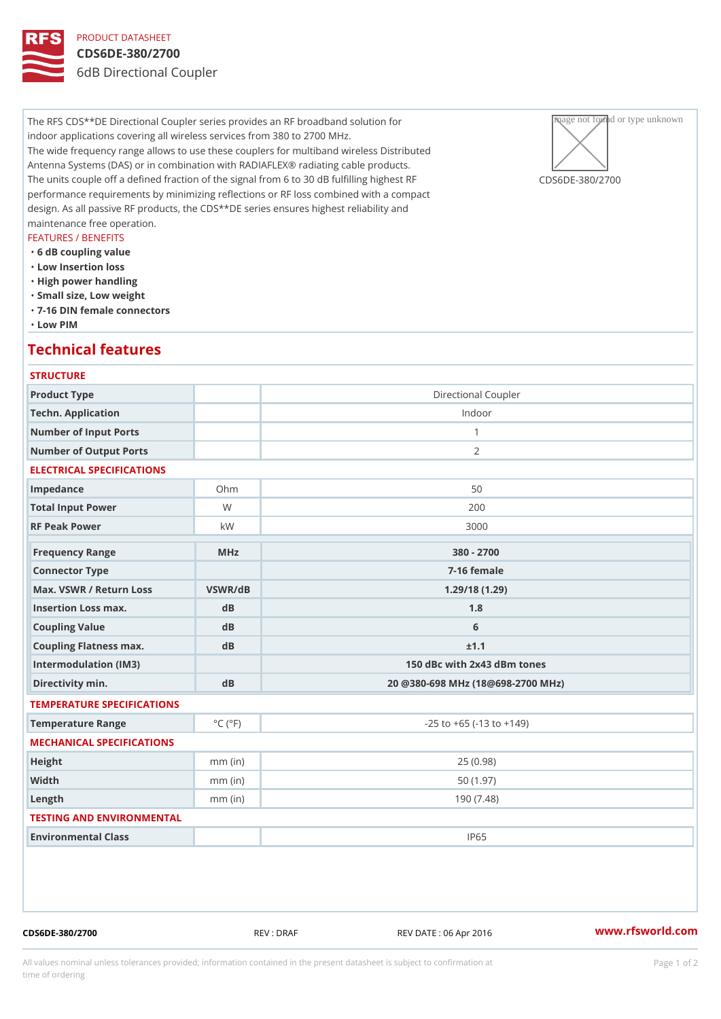# PRODUCT DATASHEET CDS6DE-380/2700 6dB Directional Coupler

The RFS CDS<sup>\*\*</sup>DE Directional Coupler series provides an RF broadband solum and for type unknown indoor applications covering all wireless services from 380 to 2700 MHz. The wide frequency range allows to use these couplers for multiband wireles  $\bigtriangleup$  str buted Antenna Systems (DAS) or in combination with RADIAFLEX® radiating cable products. The units couple off a defined fraction of the signal from 6 to 30 dB fulfil@CngStoDgEn-e3s8t0R2F700 performance requirements by minimizing reflections or RF loss combined with a compact design. As all passive RF products, the CDS\*\*DE series ensures highest reliability and maintenance free operation.

#### FEATURES / BENEFITS

- "6 dB coupling value
- "Low Insertion loss
- "High power handling
- "Small size, Low weight
- "7-16 DIN female connectors
- "Low PIM

### Technical features

#### **STRUCTURE**

| Product Type                   |                             | Directional Coupler                |
|--------------------------------|-----------------------------|------------------------------------|
| Techn. Application             |                             | Indoor                             |
| Number of Input Ports          |                             | $\mathbf{1}$                       |
| Number of Output Ports         |                             | 2                                  |
| ELECTRICAL SPECIFICATIONS      |                             |                                    |
| Impedance                      | $Oh$ m                      | 50                                 |
| Total Input Power              | W                           | 200                                |
| RF Peak Power                  | k W                         | 3000                               |
| Frequency Range                | MHz                         | 380 - 2700                         |
| Connector Type                 |                             | $7 - 16$ female                    |
| Max. VSWR / Return LossVSWR/dB |                             | 1.29/18(1.29)                      |
| Insertion Loss max.            | dB                          | 1.8                                |
| Coupling Value                 | $d$ B                       | 6                                  |
| Coupling Flatness max.         | $d$ B                       | ±1.1                               |
| Intermodulation (IM3)          |                             | 150 dBc with 2x43 dBm tones        |
| Directivity min.               | dB                          | 20 @380-698 MHz (18@698-2700 MHz)  |
| TEMPERATURE SPECIFICATIONS     |                             |                                    |
| Temperature Range              | $^{\circ}$ C ( $^{\circ}$ F | $-25$ to $+65$ ( $-13$ to $+149$ ) |
| MECHANICAL SPECIFICATIONS      |                             |                                    |
| Height                         | $mm$ (in)                   | 25(0.98)                           |
| Width                          | $mm$ (in)                   | 50(1.97)                           |
| Length                         | $mm$ (in)                   | 190(7.48)                          |
| TESTING AND ENVIRONMENTAL      |                             |                                    |
| Environmental Class            |                             | IP65                               |
|                                |                             |                                    |
|                                |                             |                                    |

CDS6DE-380/2700 REV : DRAF REV DATE : 06 Apr 2016 [www.](https://www.rfsworld.com)rfsworld.com